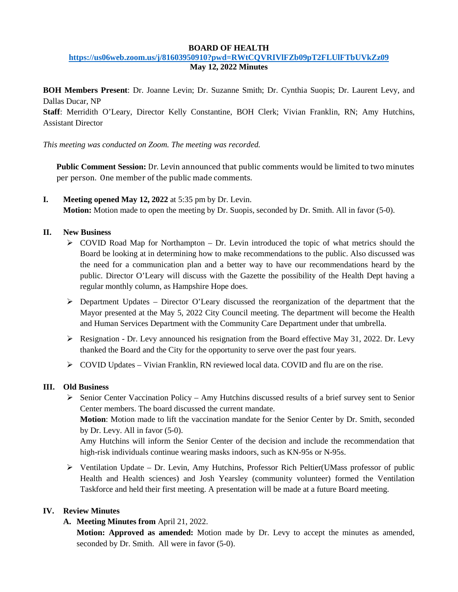#### **BOARD OF HEALTH <https://us06web.zoom.us/j/81603950910?pwd=RWtCQVRIVlFZb09pT2FLUlFTbUVkZz09> May 12, 2022 Minutes**

**BOH Members Present**: Dr. Joanne Levin; Dr. Suzanne Smith; Dr. Cynthia Suopis; Dr. Laurent Levy, and Dallas Ducar, NP

**Staff**: Merridith O'Leary, Director Kelly Constantine, BOH Clerk; Vivian Franklin, RN; Amy Hutchins, Assistant Director

*This meeting was conducted on Zoom. The meeting was recorded.*

**Public Comment Session:** Dr. Levin announced that public comments would be limited to two minutes per person. One member of the public made comments.

**I. Meeting opened May 12, 2022** at 5:35 pm by Dr. Levin. **Motion:** Motion made to open the meeting by Dr. Suopis, seconded by Dr. Smith. All in favor (5-0).

### **II. New Business**

- $\triangleright$  COVID Road Map for Northampton Dr. Levin introduced the topic of what metrics should the Board be looking at in determining how to make recommendations to the public. Also discussed was the need for a communication plan and a better way to have our recommendations heard by the public. Director O'Leary will discuss with the Gazette the possibility of the Health Dept having a regular monthly column, as Hampshire Hope does.
- $\triangleright$  Department Updates Director O'Leary discussed the reorganization of the department that the Mayor presented at the May 5, 2022 City Council meeting. The department will become the Health and Human Services Department with the Community Care Department under that umbrella.
- $\triangleright$  Resignation Dr. Levy announced his resignation from the Board effective May 31, 2022. Dr. Levy thanked the Board and the City for the opportunity to serve over the past four years.
- $\triangleright$  COVID Updates Vivian Franklin, RN reviewed local data. COVID and flu are on the rise.

#### **III. Old Business**

- $\triangleright$  Senior Center Vaccination Policy Amy Hutchins discussed results of a brief survey sent to Senior Center members. The board discussed the current mandate. **Motion**: Motion made to lift the vaccination mandate for the Senior Center by Dr. Smith, seconded by Dr. Levy. All in favor (5-0). Amy Hutchins will inform the Senior Center of the decision and include the recommendation that high-risk individuals continue wearing masks indoors, such as KN-95s or N-95s.
- $\triangleright$  Ventilation Update Dr. Levin, Amy Hutchins, Professor Rich Peltier(UMass professor of public Health and Health sciences) and Josh Yearsley (community volunteer) formed the Ventilation Taskforce and held their first meeting. A presentation will be made at a future Board meeting.

# **IV. Review Minutes**

**A. Meeting Minutes from** April 21, 2022.

**Motion: Approved as amended:** Motion made by Dr. Levy to accept the minutes as amended, seconded by Dr. Smith. All were in favor (5-0).